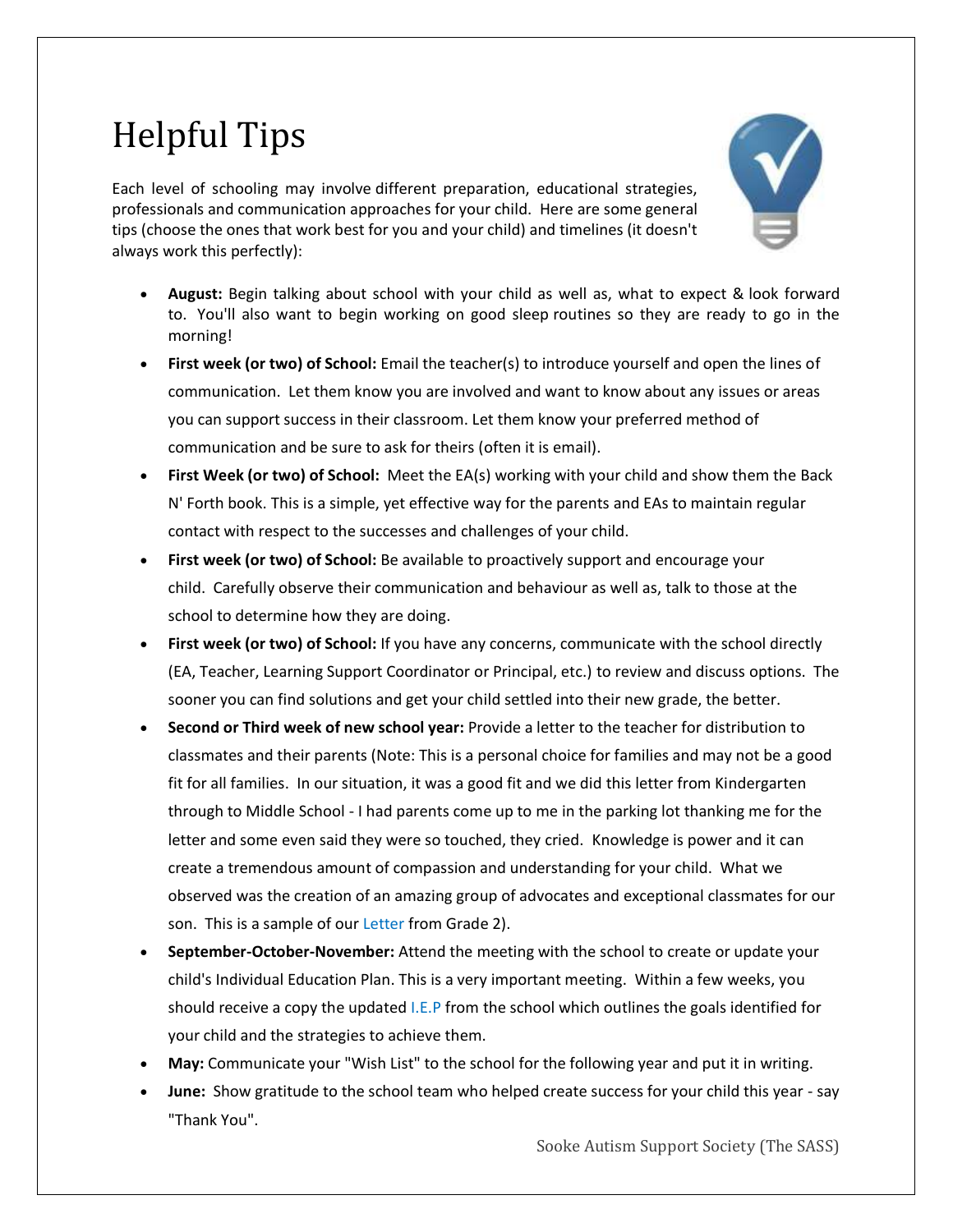## Helpful Tips

Each level of schooling may involve different preparation, educational strategies, professionals and communication approaches for your child. Here are some general tips (choose the ones that work best for you and your child) and timelines (it doesn't always work this perfectly):



- **August:** Begin talking about school with your child as well as, what to expect & look forward to. You'll also want to begin working on good sleep routines so they are ready to go in the morning!
- **First week (or two) of School:** Email the teacher(s) to introduce yourself and open the lines of communication. Let them know you are involved and want to know about any issues or areas you can support success in their classroom. Let them know your preferred method of communication and be sure to ask for theirs (often it is email).
- **First Week (or two) of School:** Meet the EA(s) working with your child and show them the Back N' Forth book. This is a simple, yet effective way for the parents and EAs to maintain regular contact with respect to the successes and challenges of your child.
- **First week (or two) of School:** Be available to proactively support and encourage your child. Carefully observe their communication and behaviour as well as, talk to those at the school to determine how they are doing.
- **First week (or two) of School:** If you have any concerns, communicate with the school directly (EA, Teacher, Learning Support Coordinator or Principal, etc.) to review and discuss options. The sooner you can find solutions and get your child settled into their new grade, the better.
- **Second or Third week of new school year:** Provide a letter to the teacher for distribution to classmates and their parents (Note: This is a personal choice for families and may not be a good fit for all families. In our situation, it was a good fit and we did this letter from Kindergarten through to Middle School - I had parents come up to me in the parking lot thanking me for the letter and some even said they were so touched, they cried. Knowledge is power and it can create a tremendous amount of compassion and understanding for your child. What we observed was the creation of an amazing group of advocates and exceptional classmates for our son. This is a sample of our [Letter](https://docs.wixstatic.com/ugd/747181_23848cdee2fe480dbbae0d1ce65ab89a.pdf) from Grade 2).
- **September-October-November:** Attend the meeting with the school to create or update your child's [Individual Education Plan. This is a very important meeting. Within a few weeks, you](http://bccpac.bc.ca/wp-content/uploads/2016/07/iep_guide_2014_0.pdf)  should receive a copy the updated I.E.P [from the school which outlines the goals identified for](http://bccpac.bc.ca/wp-content/uploads/2016/07/iep_guide_2014_0.pdf)  [your child and the strategies to achieve them.](http://bccpac.bc.ca/wp-content/uploads/2016/07/iep_guide_2014_0.pdf)
- **May:** Communicate your "Wish List" to the school for the following year and put it in writing.
- **June:** Show gratitude to the school team who helped create success for your child this year say "Thank You".

Sooke Autism Support Society (The SASS)